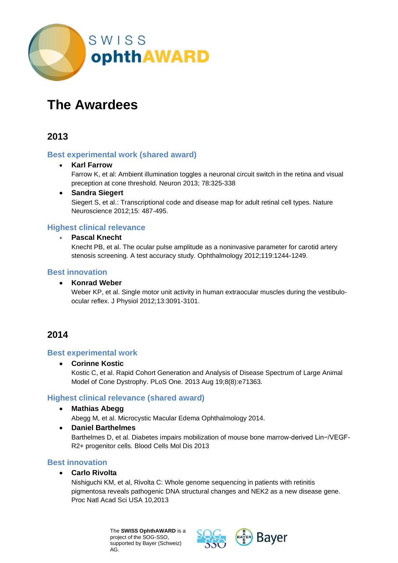

# **The Awardees**

### **2013**

#### **Best experimental work (shared award)**

#### • **Karl Farrow**

Farrow K, et al: Ambient illumination toggles a neuronal circuit switch in the retina and visual preception at cone threshold. Neuron 2013; 78:325-338

#### • **Sandra Siegert**

Siegert S, et al.: Transcriptional code and disease map for adult retinal cell types. Nature Neuroscience 2012;15: 487-495.

#### **Highest clinical relevance**

#### • **Pascal Knecht**

Knecht PB, et al. The ocular pulse amplitude as a noninvasive parameter for carotid artery stenosis screening. A test accuracy study. Ophthalmology 2012;119:1244-1249.

#### **Best innovation**

#### • **Konrad Weber**

Weber KP, et al. Single motor unit activity in human extraocular muscles during the vestibuloocular reflex. J Physiol 2012;13:3091-3101.

## **2014**

#### **Best experimental work**

• **Corinne Kostic**

Kostic C, et al. Rapid Cohort Generation and Analysis of Disease Spectrum of Large Animal Model of Cone Dystrophy. PLoS One. 2013 Aug 19;8(8):e71363.

#### **Highest clinical relevance (shared award)**

• **Mathias Abegg**

Abegg M, et al. Microcystic Macular Edema Ophthalmology 2014.

• **Daniel Barthelmes**

Barthelmes D, et al. Diabetes impairs mobilization of mouse bone marrow-derived Lin−/VEGF-R2+ progenitor cells. Blood Cells Mol Dis 2013

### **Best innovation**

#### • **Carlo Rivolta**

Nishiguchi KM, et al, Rivolta C: Whole genome sequencing in patients with retinitis pigmentosa reveals pathogenic DNA structural changes and NEK2 as a new disease gene. Proc Natl Acad Sci USA 10,2013

> The **SWISS OphthAWARD** is a project of the SOG-SSO, supported by Bayer (Schweiz) AG.

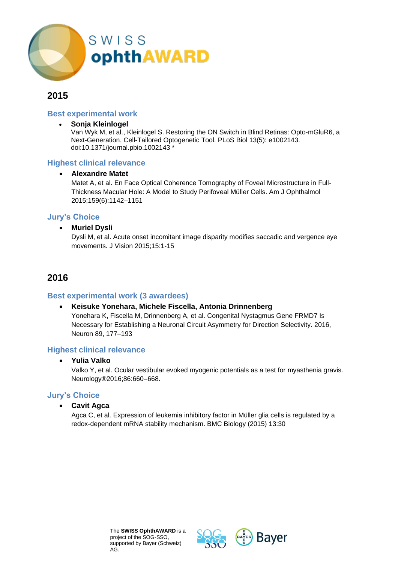

#### **Best experimental work**

• **Sonja Kleinlogel**

Van Wyk M, et al., Kleinlogel S. Restoring the ON Switch in Blind Retinas: Opto-mGluR6, a Next-Generation, Cell-Tailored Optogenetic Tool. PLoS Biol 13(5): e1002143. doi:10.1371/journal.pbio.1002143 \*

#### **Highest clinical relevance**

#### • **Alexandre Matet**

Matet A, et al. En Face Optical Coherence Tomography of Foveal Microstructure in Full-Thickness Macular Hole: A Model to Study Perifoveal Müller Cells. Am J Ophthalmol 2015;159(6):1142–1151

#### **Jury's Choice**

#### • **Muriel Dysli**

Dysli M, et al. Acute onset incomitant image disparity modifies saccadic and vergence eye movements. J Vision 2015;15:1-15

### **2016**

#### **Best experimental work (3 awardees)**

#### • **Keisuke Yonehara, Michele Fiscella, Antonia Drinnenberg**

Yonehara K, Fiscella M, Drinnenberg A, et al. Congenital Nystagmus Gene FRMD7 Is Necessary for Establishing a Neuronal Circuit Asymmetry for Direction Selectivity. 2016, Neuron 89, 177–193

#### **Highest clinical relevance**

#### • **Yulia Valko**

Valko Y, et al. Ocular vestibular evoked myogenic potentials as a test for myasthenia gravis. Neurology®2016;86:660–668.

#### **Jury's Choice**

• **Cavit Agca**

Agca C, et al. Expression of leukemia inhibitory factor in Müller glia cells is regulated by a redox-dependent mRNA stability mechanism. BMC Biology (2015) 13:30



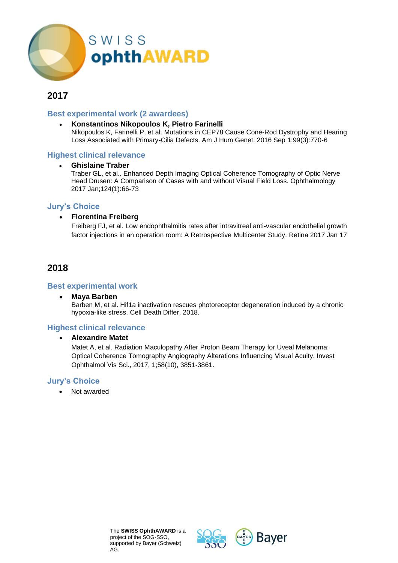

#### **Best experimental work (2 awardees)**

• **Konstantinos Nikopoulos K, Pietro Farinelli** Nikopoulos K, Farinelli P, et al. Mutations in CEP78 Cause Cone-Rod Dystrophy and Hearing Loss Associated with Primary-Cilia Defects. Am J Hum Genet. 2016 Sep 1;99(3):770-6

#### **Highest clinical relevance**

#### • **Ghislaine Traber**

Traber GL, et al.. Enhanced Depth Imaging Optical Coherence Tomography of Optic Nerve Head Drusen: A Comparison of Cases with and without Visual Field Loss. Ophthalmology 2017 Jan;124(1):66-73

#### **Jury's Choice**

#### • **Florentina Freiberg**

Freiberg FJ, et al. Low endophthalmitis rates after intravitreal anti-vascular endothelial growth factor injections in an operation room: A Retrospective Multicenter Study. Retina 2017 Jan 17

### **2018**

#### **Best experimental work**

• **Maya Barben** Barben M, et al. Hif1a inactivation rescues photoreceptor degeneration induced by a chronic hypoxia-like stress. Cell Death Differ, 2018.

#### **Highest clinical relevance**

#### • **Alexandre Matet**

Matet A, et al. Radiation Maculopathy After Proton Beam Therapy for Uveal Melanoma: Optical Coherence Tomography Angiography Alterations Influencing Visual Acuity. Invest Ophthalmol Vis Sci., 2017, 1;58(10), 3851-3861.

#### **Jury's Choice**

• Not awarded

The **SWISS OphthAWARD** is a project of the SOG-SSO, supported by Bayer (Schweiz) AG.



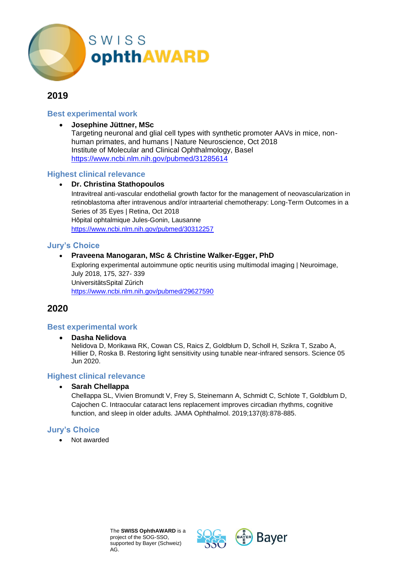

#### **Best experimental work**

#### • **Josephine Jüttner, MSc**

Targeting neuronal and glial cell types with synthetic promoter AAVs in mice, nonhuman primates, and humans | Nature Neuroscience, Oct 2018 Institute of Molecular and Clinical Ophthalmology, Basel <https://www.ncbi.nlm.nih.gov/pubmed/31285614>

#### **Highest clinical relevance**

#### • **Dr. Christina Stathopoulos**

Intravitreal anti-vascular endothelial growth factor for the management of neovascularization in retinoblastoma after intravenous and/or intraarterial chemotherapy: Long-Term Outcomes in a Series of 35 Eyes | Retina, Oct 2018 Hôpital ophtalmique Jules-Gonin, Lausanne <https://www.ncbi.nlm.nih.gov/pubmed/30312257>

#### **Jury's Choice**

#### • **Praveena Manogaran, MSc & Christine Walker-Egger, PhD**

Exploring experimental autoimmune optic neuritis using multimodal imaging | Neuroimage, July 2018, 175, 327- 339 UniversitätsSpital Zürich <https://www.ncbi.nlm.nih.gov/pubmed/29627590>

### **2020**

#### **Best experimental work**

#### • **Dasha Nelidova**

Nelidova D, Morikawa RK, Cowan CS, Raics Z, Goldblum D, Scholl H, Szikra T, Szabo A, Hillier D, Roska B. Restoring light sensitivity using tunable near-infrared sensors. Science 05 Jun 2020.

#### **Highest clinical relevance**

#### • **Sarah Chellappa**

Chellappa SL, Vivien Bromundt V, Frey S, Steinemann A, Schmidt C, Schlote T, Goldblum D, Cajochen C. Intraocular cataract lens replacement improves circadian rhythms, cognitive function, and sleep in older adults. JAMA Ophthalmol. 2019;137(8):878-885.

#### **Jury's Choice**

Not awarded